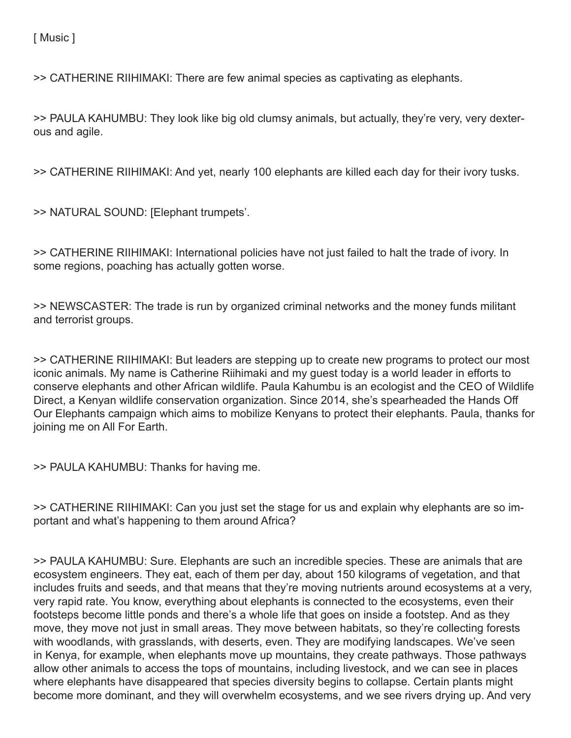[ Music ]

>> CATHERINE RIIHIMAKI: There are few animal species as captivating as elephants.

>> PAULA KAHUMBU: They look like big old clumsy animals, but actually, they're very, very dexterous and agile.

>> CATHERINE RIIHIMAKI: And yet, nearly 100 elephants are killed each day for their ivory tusks.

>> NATURAL SOUND: [Elephant trumpets'.

>> CATHERINE RIIHIMAKI: International policies have not just failed to halt the trade of ivory. In some regions, poaching has actually gotten worse.

>> NEWSCASTER: The trade is run by organized criminal networks and the money funds militant and terrorist groups.

>> CATHERINE RIIHIMAKI: But leaders are stepping up to create new programs to protect our most iconic animals. My name is Catherine Riihimaki and my guest today is a world leader in efforts to conserve elephants and other African wildlife. Paula Kahumbu is an ecologist and the CEO of Wildlife Direct, a Kenyan wildlife conservation organization. Since 2014, she's spearheaded the Hands Off Our Elephants campaign which aims to mobilize Kenyans to protect their elephants. Paula, thanks for joining me on All For Earth.

>> PAULA KAHUMBU: Thanks for having me.

>> CATHERINE RIIHIMAKI: Can you just set the stage for us and explain why elephants are so important and what's happening to them around Africa?

>> PAULA KAHUMBU: Sure. Elephants are such an incredible species. These are animals that are ecosystem engineers. They eat, each of them per day, about 150 kilograms of vegetation, and that includes fruits and seeds, and that means that they're moving nutrients around ecosystems at a very, very rapid rate. You know, everything about elephants is connected to the ecosystems, even their footsteps become little ponds and there's a whole life that goes on inside a footstep. And as they move, they move not just in small areas. They move between habitats, so they're collecting forests with woodlands, with grasslands, with deserts, even. They are modifying landscapes. We've seen in Kenya, for example, when elephants move up mountains, they create pathways. Those pathways allow other animals to access the tops of mountains, including livestock, and we can see in places where elephants have disappeared that species diversity begins to collapse. Certain plants might become more dominant, and they will overwhelm ecosystems, and we see rivers drying up. And very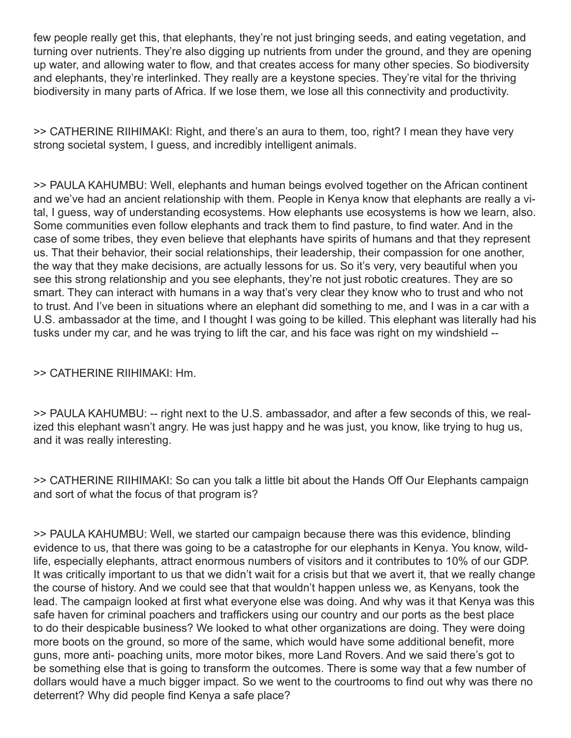few people really get this, that elephants, they're not just bringing seeds, and eating vegetation, and turning over nutrients. They're also digging up nutrients from under the ground, and they are opening up water, and allowing water to flow, and that creates access for many other species. So biodiversity and elephants, they're interlinked. They really are a keystone species. They're vital for the thriving biodiversity in many parts of Africa. If we lose them, we lose all this connectivity and productivity.

>> CATHERINE RIIHIMAKI: Right, and there's an aura to them, too, right? I mean they have very strong societal system, I guess, and incredibly intelligent animals.

>> PAULA KAHUMBU: Well, elephants and human beings evolved together on the African continent and we've had an ancient relationship with them. People in Kenya know that elephants are really a vital, I guess, way of understanding ecosystems. How elephants use ecosystems is how we learn, also. Some communities even follow elephants and track them to find pasture, to find water. And in the case of some tribes, they even believe that elephants have spirits of humans and that they represent us. That their behavior, their social relationships, their leadership, their compassion for one another, the way that they make decisions, are actually lessons for us. So it's very, very beautiful when you see this strong relationship and you see elephants, they're not just robotic creatures. They are so smart. They can interact with humans in a way that's very clear they know who to trust and who not to trust. And I've been in situations where an elephant did something to me, and I was in a car with a U.S. ambassador at the time, and I thought I was going to be killed. This elephant was literally had his tusks under my car, and he was trying to lift the car, and his face was right on my windshield --

## >> CATHERINE RIIHIMAKI: Hm.

>> PAULA KAHUMBU: -- right next to the U.S. ambassador, and after a few seconds of this, we realized this elephant wasn't angry. He was just happy and he was just, you know, like trying to hug us, and it was really interesting.

>> CATHERINE RIIHIMAKI: So can you talk a little bit about the Hands Off Our Elephants campaign and sort of what the focus of that program is?

>> PAULA KAHUMBU: Well, we started our campaign because there was this evidence, blinding evidence to us, that there was going to be a catastrophe for our elephants in Kenya. You know, wildlife, especially elephants, attract enormous numbers of visitors and it contributes to 10% of our GDP. It was critically important to us that we didn't wait for a crisis but that we avert it, that we really change the course of history. And we could see that that wouldn't happen unless we, as Kenyans, took the lead. The campaign looked at first what everyone else was doing. And why was it that Kenya was this safe haven for criminal poachers and traffickers using our country and our ports as the best place to do their despicable business? We looked to what other organizations are doing. They were doing more boots on the ground, so more of the same, which would have some additional benefit, more guns, more anti- poaching units, more motor bikes, more Land Rovers. And we said there's got to be something else that is going to transform the outcomes. There is some way that a few number of dollars would have a much bigger impact. So we went to the courtrooms to find out why was there no deterrent? Why did people find Kenya a safe place?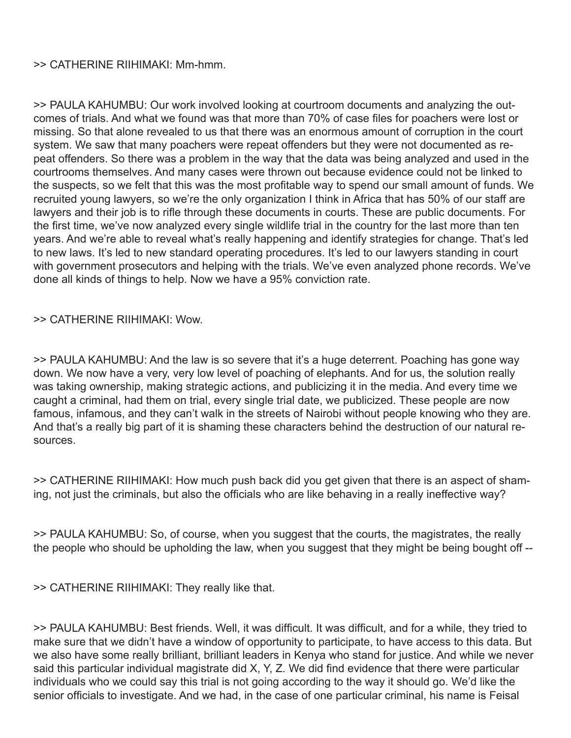### >> CATHERINE RIIHIMAKI: Mm-hmm.

>> PAULA KAHUMBU: Our work involved looking at courtroom documents and analyzing the outcomes of trials. And what we found was that more than 70% of case files for poachers were lost or missing. So that alone revealed to us that there was an enormous amount of corruption in the court system. We saw that many poachers were repeat offenders but they were not documented as repeat offenders. So there was a problem in the way that the data was being analyzed and used in the courtrooms themselves. And many cases were thrown out because evidence could not be linked to the suspects, so we felt that this was the most profitable way to spend our small amount of funds. We recruited young lawyers, so we're the only organization I think in Africa that has 50% of our staff are lawyers and their job is to rifle through these documents in courts. These are public documents. For the first time, we've now analyzed every single wildlife trial in the country for the last more than ten years. And we're able to reveal what's really happening and identify strategies for change. That's led to new laws. It's led to new standard operating procedures. It's led to our lawyers standing in court with government prosecutors and helping with the trials. We've even analyzed phone records. We've done all kinds of things to help. Now we have a 95% conviction rate.

## >> CATHERINE RIIHIMAKI: Wow.

>> PAULA KAHUMBU: And the law is so severe that it's a huge deterrent. Poaching has gone way down. We now have a very, very low level of poaching of elephants. And for us, the solution really was taking ownership, making strategic actions, and publicizing it in the media. And every time we caught a criminal, had them on trial, every single trial date, we publicized. These people are now famous, infamous, and they can't walk in the streets of Nairobi without people knowing who they are. And that's a really big part of it is shaming these characters behind the destruction of our natural resources.

>> CATHERINE RIIHIMAKI: How much push back did you get given that there is an aspect of shaming, not just the criminals, but also the officials who are like behaving in a really ineffective way?

>> PAULA KAHUMBU: So, of course, when you suggest that the courts, the magistrates, the really the people who should be upholding the law, when you suggest that they might be being bought off --

>> CATHERINE RIIHIMAKI: They really like that.

>> PAULA KAHUMBU: Best friends. Well, it was difficult. It was difficult, and for a while, they tried to make sure that we didn't have a window of opportunity to participate, to have access to this data. But we also have some really brilliant, brilliant leaders in Kenya who stand for justice. And while we never said this particular individual magistrate did X, Y, Z. We did find evidence that there were particular individuals who we could say this trial is not going according to the way it should go. We'd like the senior officials to investigate. And we had, in the case of one particular criminal, his name is Feisal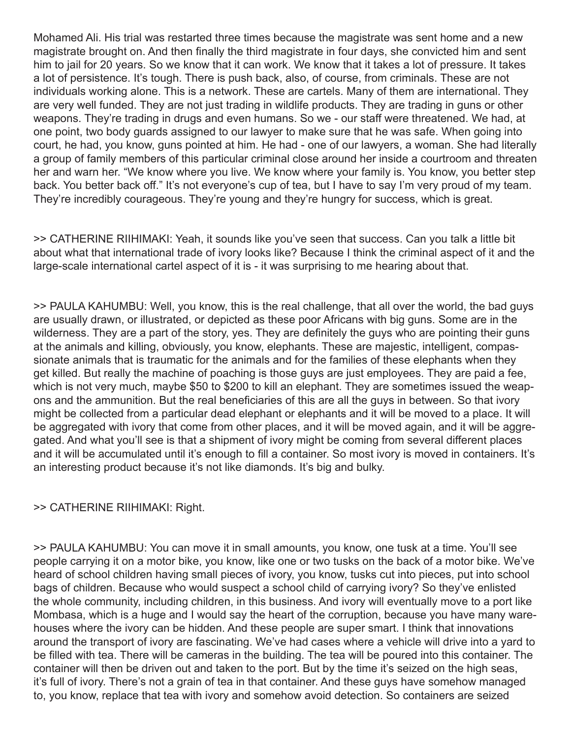Mohamed Ali. His trial was restarted three times because the magistrate was sent home and a new magistrate brought on. And then finally the third magistrate in four days, she convicted him and sent him to jail for 20 years. So we know that it can work. We know that it takes a lot of pressure. It takes a lot of persistence. It's tough. There is push back, also, of course, from criminals. These are not individuals working alone. This is a network. These are cartels. Many of them are international. They are very well funded. They are not just trading in wildlife products. They are trading in guns or other weapons. They're trading in drugs and even humans. So we - our staff were threatened. We had, at one point, two body guards assigned to our lawyer to make sure that he was safe. When going into court, he had, you know, guns pointed at him. He had - one of our lawyers, a woman. She had literally a group of family members of this particular criminal close around her inside a courtroom and threaten her and warn her. "We know where you live. We know where your family is. You know, you better step back. You better back off." It's not everyone's cup of tea, but I have to say I'm very proud of my team. They're incredibly courageous. They're young and they're hungry for success, which is great.

>> CATHERINE RIIHIMAKI: Yeah, it sounds like you've seen that success. Can you talk a little bit about what that international trade of ivory looks like? Because I think the criminal aspect of it and the large-scale international cartel aspect of it is - it was surprising to me hearing about that.

>> PAULA KAHUMBU: Well, you know, this is the real challenge, that all over the world, the bad guys are usually drawn, or illustrated, or depicted as these poor Africans with big guns. Some are in the wilderness. They are a part of the story, yes. They are definitely the guys who are pointing their guns at the animals and killing, obviously, you know, elephants. These are majestic, intelligent, compassionate animals that is traumatic for the animals and for the families of these elephants when they get killed. But really the machine of poaching is those guys are just employees. They are paid a fee, which is not very much, maybe \$50 to \$200 to kill an elephant. They are sometimes issued the weapons and the ammunition. But the real beneficiaries of this are all the guys in between. So that ivory might be collected from a particular dead elephant or elephants and it will be moved to a place. It will be aggregated with ivory that come from other places, and it will be moved again, and it will be aggregated. And what you'll see is that a shipment of ivory might be coming from several different places and it will be accumulated until it's enough to fill a container. So most ivory is moved in containers. It's an interesting product because it's not like diamonds. It's big and bulky.

# >> CATHERINE RIIHIMAKI: Right.

>> PAULA KAHUMBU: You can move it in small amounts, you know, one tusk at a time. You'll see people carrying it on a motor bike, you know, like one or two tusks on the back of a motor bike. We've heard of school children having small pieces of ivory, you know, tusks cut into pieces, put into school bags of children. Because who would suspect a school child of carrying ivory? So they've enlisted the whole community, including children, in this business. And ivory will eventually move to a port like Mombasa, which is a huge and I would say the heart of the corruption, because you have many warehouses where the ivory can be hidden. And these people are super smart. I think that innovations around the transport of ivory are fascinating. We've had cases where a vehicle will drive into a yard to be filled with tea. There will be cameras in the building. The tea will be poured into this container. The container will then be driven out and taken to the port. But by the time it's seized on the high seas, it's full of ivory. There's not a grain of tea in that container. And these guys have somehow managed to, you know, replace that tea with ivory and somehow avoid detection. So containers are seized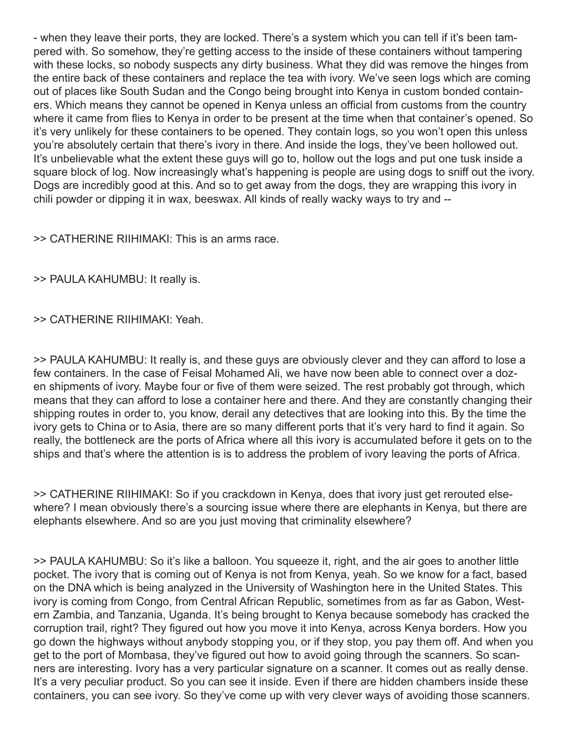- when they leave their ports, they are locked. There's a system which you can tell if it's been tampered with. So somehow, they're getting access to the inside of these containers without tampering with these locks, so nobody suspects any dirty business. What they did was remove the hinges from the entire back of these containers and replace the tea with ivory. We've seen logs which are coming out of places like South Sudan and the Congo being brought into Kenya in custom bonded containers. Which means they cannot be opened in Kenya unless an official from customs from the country where it came from flies to Kenya in order to be present at the time when that container's opened. So it's very unlikely for these containers to be opened. They contain logs, so you won't open this unless you're absolutely certain that there's ivory in there. And inside the logs, they've been hollowed out. It's unbelievable what the extent these guys will go to, hollow out the logs and put one tusk inside a square block of log. Now increasingly what's happening is people are using dogs to sniff out the ivory. Dogs are incredibly good at this. And so to get away from the dogs, they are wrapping this ivory in chili powder or dipping it in wax, beeswax. All kinds of really wacky ways to try and --

>> CATHERINE RIIHIMAKI: This is an arms race.

>> PAULA KAHUMBU: It really is.

## >> CATHERINE RIIHIMAKI: Yeah.

>> PAULA KAHUMBU: It really is, and these guys are obviously clever and they can afford to lose a few containers. In the case of Feisal Mohamed Ali, we have now been able to connect over a dozen shipments of ivory. Maybe four or five of them were seized. The rest probably got through, which means that they can afford to lose a container here and there. And they are constantly changing their shipping routes in order to, you know, derail any detectives that are looking into this. By the time the ivory gets to China or to Asia, there are so many different ports that it's very hard to find it again. So really, the bottleneck are the ports of Africa where all this ivory is accumulated before it gets on to the ships and that's where the attention is is to address the problem of ivory leaving the ports of Africa.

>> CATHERINE RIIHIMAKI: So if you crackdown in Kenya, does that ivory just get rerouted elsewhere? I mean obviously there's a sourcing issue where there are elephants in Kenya, but there are elephants elsewhere. And so are you just moving that criminality elsewhere?

>> PAULA KAHUMBU: So it's like a balloon. You squeeze it, right, and the air goes to another little pocket. The ivory that is coming out of Kenya is not from Kenya, yeah. So we know for a fact, based on the DNA which is being analyzed in the University of Washington here in the United States. This ivory is coming from Congo, from Central African Republic, sometimes from as far as Gabon, Western Zambia, and Tanzania, Uganda. It's being brought to Kenya because somebody has cracked the corruption trail, right? They figured out how you move it into Kenya, across Kenya borders. How you go down the highways without anybody stopping you, or if they stop, you pay them off. And when you get to the port of Mombasa, they've figured out how to avoid going through the scanners. So scanners are interesting. Ivory has a very particular signature on a scanner. It comes out as really dense. It's a very peculiar product. So you can see it inside. Even if there are hidden chambers inside these containers, you can see ivory. So they've come up with very clever ways of avoiding those scanners.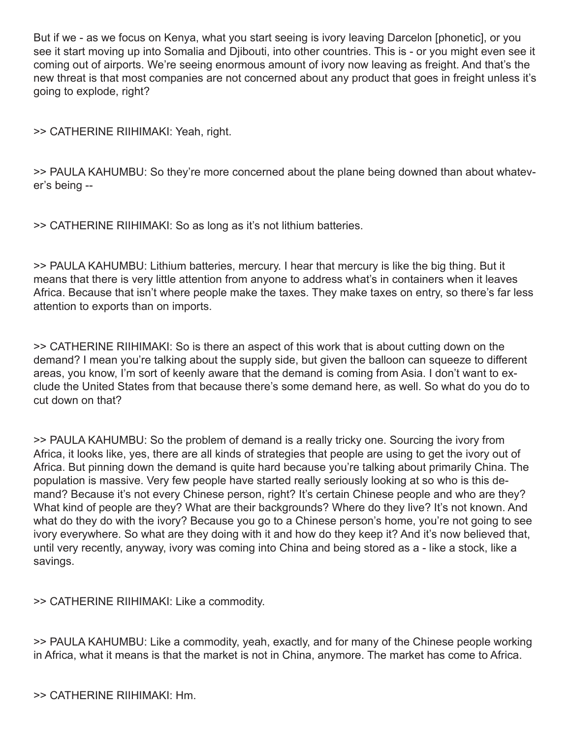But if we - as we focus on Kenya, what you start seeing is ivory leaving Darcelon [phonetic], or you see it start moving up into Somalia and Djibouti, into other countries. This is - or you might even see it coming out of airports. We're seeing enormous amount of ivory now leaving as freight. And that's the new threat is that most companies are not concerned about any product that goes in freight unless it's going to explode, right?

>> CATHERINE RIIHIMAKI: Yeah, right.

>> PAULA KAHUMBU: So they're more concerned about the plane being downed than about whatever's being --

>> CATHERINE RIIHIMAKI: So as long as it's not lithium batteries.

>> PAULA KAHUMBU: Lithium batteries, mercury. I hear that mercury is like the big thing. But it means that there is very little attention from anyone to address what's in containers when it leaves Africa. Because that isn't where people make the taxes. They make taxes on entry, so there's far less attention to exports than on imports.

>> CATHERINE RIIHIMAKI: So is there an aspect of this work that is about cutting down on the demand? I mean you're talking about the supply side, but given the balloon can squeeze to different areas, you know, I'm sort of keenly aware that the demand is coming from Asia. I don't want to exclude the United States from that because there's some demand here, as well. So what do you do to cut down on that?

>> PAULA KAHUMBU: So the problem of demand is a really tricky one. Sourcing the ivory from Africa, it looks like, yes, there are all kinds of strategies that people are using to get the ivory out of Africa. But pinning down the demand is quite hard because you're talking about primarily China. The population is massive. Very few people have started really seriously looking at so who is this demand? Because it's not every Chinese person, right? It's certain Chinese people and who are they? What kind of people are they? What are their backgrounds? Where do they live? It's not known. And what do they do with the ivory? Because you go to a Chinese person's home, you're not going to see ivory everywhere. So what are they doing with it and how do they keep it? And it's now believed that, until very recently, anyway, ivory was coming into China and being stored as a - like a stock, like a savings.

>> CATHERINE RIIHIMAKI: Like a commodity.

>> PAULA KAHUMBU: Like a commodity, yeah, exactly, and for many of the Chinese people working in Africa, what it means is that the market is not in China, anymore. The market has come to Africa.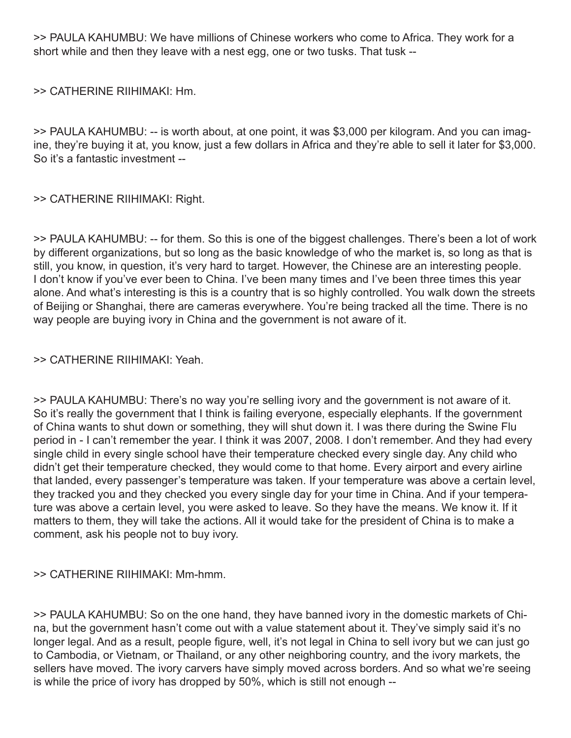>> PAULA KAHUMBU: We have millions of Chinese workers who come to Africa. They work for a short while and then they leave with a nest egg, one or two tusks. That tusk --

>> CATHERINE RIIHIMAKI: Hm.

>> PAULA KAHUMBU: -- is worth about, at one point, it was \$3,000 per kilogram. And you can imagine, they're buying it at, you know, just a few dollars in Africa and they're able to sell it later for \$3,000. So it's a fantastic investment --

>> CATHERINE RIIHIMAKI: Right.

>> PAULA KAHUMBU: -- for them. So this is one of the biggest challenges. There's been a lot of work by different organizations, but so long as the basic knowledge of who the market is, so long as that is still, you know, in question, it's very hard to target. However, the Chinese are an interesting people. I don't know if you've ever been to China. I've been many times and I've been three times this year alone. And what's interesting is this is a country that is so highly controlled. You walk down the streets of Beijing or Shanghai, there are cameras everywhere. You're being tracked all the time. There is no way people are buying ivory in China and the government is not aware of it.

### >> CATHERINE RIIHIMAKI: Yeah.

>> PAULA KAHUMBU: There's no way you're selling ivory and the government is not aware of it. So it's really the government that I think is failing everyone, especially elephants. If the government of China wants to shut down or something, they will shut down it. I was there during the Swine Flu period in - I can't remember the year. I think it was 2007, 2008. I don't remember. And they had every single child in every single school have their temperature checked every single day. Any child who didn't get their temperature checked, they would come to that home. Every airport and every airline that landed, every passenger's temperature was taken. If your temperature was above a certain level, they tracked you and they checked you every single day for your time in China. And if your temperature was above a certain level, you were asked to leave. So they have the means. We know it. If it matters to them, they will take the actions. All it would take for the president of China is to make a comment, ask his people not to buy ivory.

### >> CATHERINE RIIHIMAKI: Mm-hmm.

>> PAULA KAHUMBU: So on the one hand, they have banned ivory in the domestic markets of China, but the government hasn't come out with a value statement about it. They've simply said it's no longer legal. And as a result, people figure, well, it's not legal in China to sell ivory but we can just go to Cambodia, or Vietnam, or Thailand, or any other neighboring country, and the ivory markets, the sellers have moved. The ivory carvers have simply moved across borders. And so what we're seeing is while the price of ivory has dropped by 50%, which is still not enough --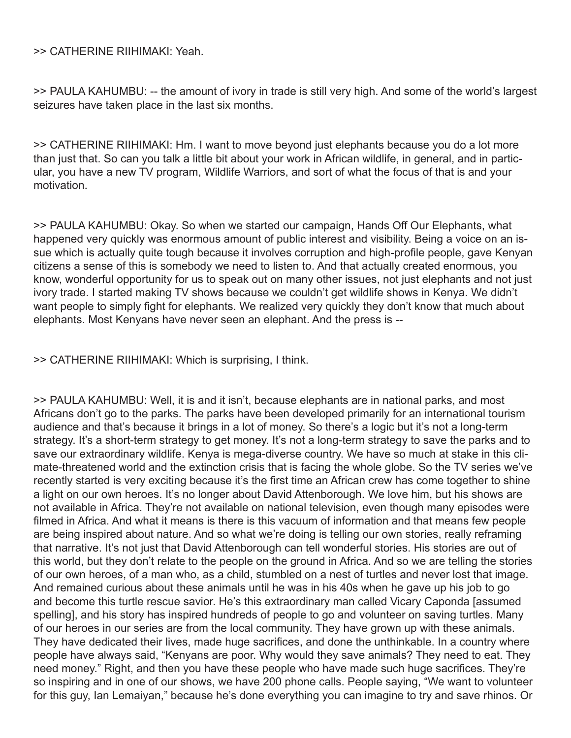>> CATHERINE RIIHIMAKI: Yeah.

>> PAULA KAHUMBU: -- the amount of ivory in trade is still very high. And some of the world's largest seizures have taken place in the last six months.

>> CATHERINE RIIHIMAKI: Hm. I want to move beyond just elephants because you do a lot more than just that. So can you talk a little bit about your work in African wildlife, in general, and in particular, you have a new TV program, Wildlife Warriors, and sort of what the focus of that is and your motivation.

>> PAULA KAHUMBU: Okay. So when we started our campaign, Hands Off Our Elephants, what happened very quickly was enormous amount of public interest and visibility. Being a voice on an issue which is actually quite tough because it involves corruption and high-profile people, gave Kenyan citizens a sense of this is somebody we need to listen to. And that actually created enormous, you know, wonderful opportunity for us to speak out on many other issues, not just elephants and not just ivory trade. I started making TV shows because we couldn't get wildlife shows in Kenya. We didn't want people to simply fight for elephants. We realized very quickly they don't know that much about elephants. Most Kenyans have never seen an elephant. And the press is --

>> CATHERINE RIIHIMAKI: Which is surprising, I think.

>> PAULA KAHUMBU: Well, it is and it isn't, because elephants are in national parks, and most Africans don't go to the parks. The parks have been developed primarily for an international tourism audience and that's because it brings in a lot of money. So there's a logic but it's not a long-term strategy. It's a short-term strategy to get money. It's not a long-term strategy to save the parks and to save our extraordinary wildlife. Kenya is mega-diverse country. We have so much at stake in this climate-threatened world and the extinction crisis that is facing the whole globe. So the TV series we've recently started is very exciting because it's the first time an African crew has come together to shine a light on our own heroes. It's no longer about David Attenborough. We love him, but his shows are not available in Africa. They're not available on national television, even though many episodes were filmed in Africa. And what it means is there is this vacuum of information and that means few people are being inspired about nature. And so what we're doing is telling our own stories, really reframing that narrative. It's not just that David Attenborough can tell wonderful stories. His stories are out of this world, but they don't relate to the people on the ground in Africa. And so we are telling the stories of our own heroes, of a man who, as a child, stumbled on a nest of turtles and never lost that image. And remained curious about these animals until he was in his 40s when he gave up his job to go and become this turtle rescue savior. He's this extraordinary man called Vicary Caponda [assumed spelling], and his story has inspired hundreds of people to go and volunteer on saving turtles. Many of our heroes in our series are from the local community. They have grown up with these animals. They have dedicated their lives, made huge sacrifices, and done the unthinkable. In a country where people have always said, "Kenyans are poor. Why would they save animals? They need to eat. They need money." Right, and then you have these people who have made such huge sacrifices. They're so inspiring and in one of our shows, we have 200 phone calls. People saying, "We want to volunteer for this guy, Ian Lemaiyan," because he's done everything you can imagine to try and save rhinos. Or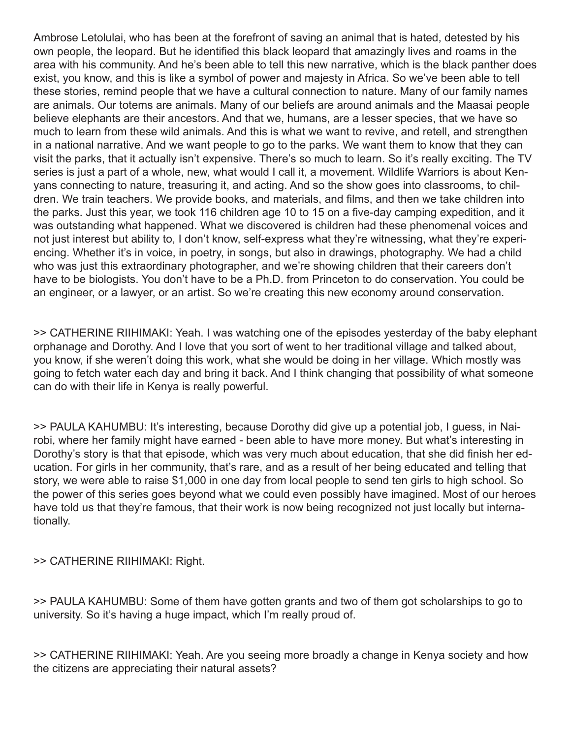Ambrose Letolulai, who has been at the forefront of saving an animal that is hated, detested by his own people, the leopard. But he identified this black leopard that amazingly lives and roams in the area with his community. And he's been able to tell this new narrative, which is the black panther does exist, you know, and this is like a symbol of power and majesty in Africa. So we've been able to tell these stories, remind people that we have a cultural connection to nature. Many of our family names are animals. Our totems are animals. Many of our beliefs are around animals and the Maasai people believe elephants are their ancestors. And that we, humans, are a lesser species, that we have so much to learn from these wild animals. And this is what we want to revive, and retell, and strengthen in a national narrative. And we want people to go to the parks. We want them to know that they can visit the parks, that it actually isn't expensive. There's so much to learn. So it's really exciting. The TV series is just a part of a whole, new, what would I call it, a movement. Wildlife Warriors is about Kenyans connecting to nature, treasuring it, and acting. And so the show goes into classrooms, to children. We train teachers. We provide books, and materials, and films, and then we take children into the parks. Just this year, we took 116 children age 10 to 15 on a five-day camping expedition, and it was outstanding what happened. What we discovered is children had these phenomenal voices and not just interest but ability to, I don't know, self-express what they're witnessing, what they're experiencing. Whether it's in voice, in poetry, in songs, but also in drawings, photography. We had a child who was just this extraordinary photographer, and we're showing children that their careers don't have to be biologists. You don't have to be a Ph.D. from Princeton to do conservation. You could be an engineer, or a lawyer, or an artist. So we're creating this new economy around conservation.

>> CATHERINE RIIHIMAKI: Yeah. I was watching one of the episodes yesterday of the baby elephant orphanage and Dorothy. And I love that you sort of went to her traditional village and talked about, you know, if she weren't doing this work, what she would be doing in her village. Which mostly was going to fetch water each day and bring it back. And I think changing that possibility of what someone can do with their life in Kenya is really powerful.

>> PAULA KAHUMBU: It's interesting, because Dorothy did give up a potential job, I guess, in Nairobi, where her family might have earned - been able to have more money. But what's interesting in Dorothy's story is that that episode, which was very much about education, that she did finish her education. For girls in her community, that's rare, and as a result of her being educated and telling that story, we were able to raise \$1,000 in one day from local people to send ten girls to high school. So the power of this series goes beyond what we could even possibly have imagined. Most of our heroes have told us that they're famous, that their work is now being recognized not just locally but internationally.

>> CATHERINE RIIHIMAKI: Right.

>> PAULA KAHUMBU: Some of them have gotten grants and two of them got scholarships to go to university. So it's having a huge impact, which I'm really proud of.

>> CATHERINE RIIHIMAKI: Yeah. Are you seeing more broadly a change in Kenya society and how the citizens are appreciating their natural assets?